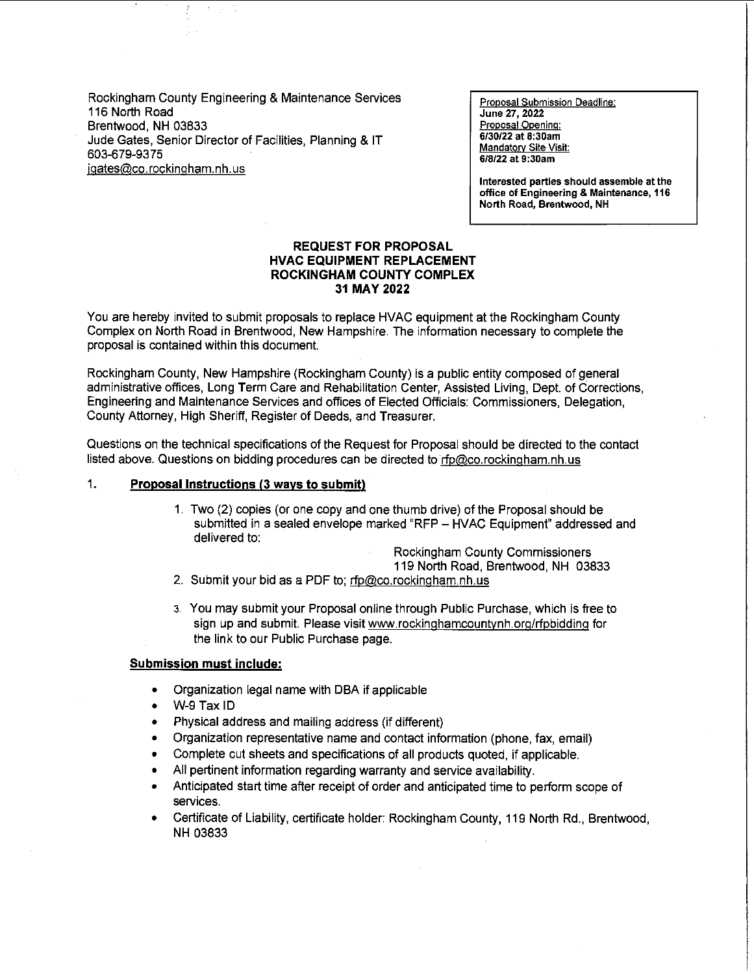Rockingham County Engineering & Maintenance Services 116 North Road Brentwood, NH 03833 Jude Gates, Senior Director of Facilities, Planning & IT 603-679-9375 jgates@co.rockingham.nh.us

**Proposal Submission Deadline: June 27, 2022 Proposal Opening:**  6/30/22 at 8:30am **Mandatory Site Visit:** 6/8/22 at 9:30am

**Interested parties should assemble at the office of Engineering & Maintenance, 116**  North Road, Brentwood, NH

#### **REQUEST FOR PROPOSAL HVAC EQUIPMENT REPLACEMENT ROCKINGHAM COUNTY COMPLEX 31 MAY2022**

You are hereby invited to submit proposals to replace HVAC equipment at the Rockingham County Complex on North Road in Brentwood, New Hampshire. The information necessary to complete the proposal is contained within this document.

Rockingham County, New Hampshire (Rockingham County) is a public entity composed of general administrative offices, Long Term Care and Rehabilitation Center, Assisted Living, Dept. of Corrections, Engineering and Maintenance Services and offices of Elected Officials: Commissioners, Delegation, County Attorney, High Sheriff, Register of Deeds, and Treasurer.

Questions on the technical specifications of the Request for Proposal should be directed to the contact listed above. Questions on bidding procedures can be directed to rfp@co.rockingham.nh.us

### 1. **Proposal Instructions (3 ways to submit)**

1. Two (2) copies (or one copy and one thumb drive) of the Proposal should be submitted in a sealed envelope marked "RFP - HVAC Equipment" addressed and delivered to:

Rockingham County Commissioners

119 North Road, Brentwood, NH 03833

- 2. Submit your bid as a PDF to; rfp@co.rockingham.nh.us
- 3. You may submit your Proposal online through Public Purchase, which is free to sign up and submit. Please visit www.rockinqhamcountynh.org/rfpbidding for the link to our Public Purchase page.

#### **Submission must include:**

- Organization legal name with DBA if applicable
- W-9 Tax ID
- Physical address and mailing address (if different)
- Organization representative name and contact information (phone, fax, email)
- Complete cut sheets and specifications of all products quoted, if applicable.
- All pertinent information regarding warranty and service availability.
- Anticipated start time after receipt of order and anticipated time to perform scope of services.
- Certificate of Liability, certificate holder: Rockingham County, 119 North Rd., Brentwood, NH 03833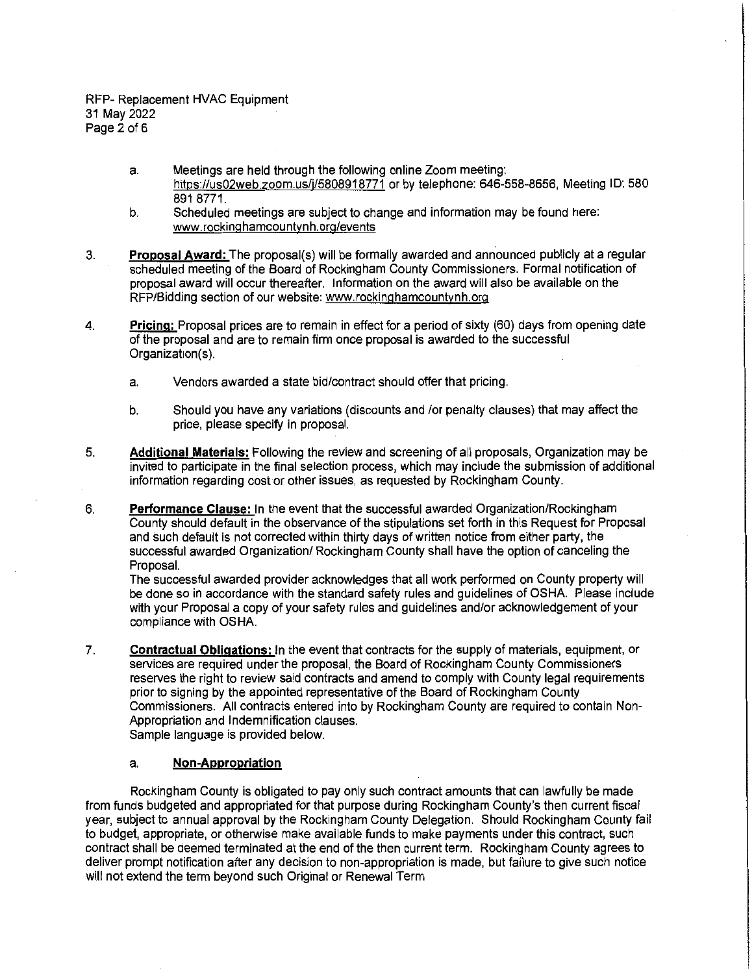- a. Meetings are held through the following online Zoom meeting: https://us02web.zoom.us/j/5808918771 or by telephone: 646-558-8656, Meeting ID: 580 891 8771.
- b. Scheduled meetings are subject to change and information may be found here: www.rockinghamcountynh.org/events
- 3. **Proposal Award:** The proposal(s) will be formally awarded and announced publicly at a regular scheduled meeting of the Board of Rockingham County Commissioners. Formal notification of proposal award will occur thereafter. Information on the award will also be available on the RFP/Bidding section of our website: www.rockinghamcountvnh.org
- 4. **Pricing:** Proposal prices are to remain in effect for a period of sixty (60) days from opening date of the proposal and are to remain firm once proposal is awarded to the successful Organization(s).
	- a. Vendors awarded a state bid/contract should offer that pricing.
	- b. Should you have any variations (discounts and /or penalty clauses) that may affect the price, please specify in proposal.
- 5. **Additional Materials:** Following the review and screening of all proposals, Organization may be invited to participate in the final selection process, which may include the submission of additional information regarding cost or other issues, as requested by Rockingham County.
- 6. **Performance Clause:** In the event that the successful awarded Organization/Rockingham County should default in the observance of the stipulations set forth in this Request for Proposal and such default is not corrected within thirty days of written notice from either party, the successful awarded Organization/ Rockingham County shall have the option of canceling the Proposal.

The successful awarded provider acknowledges that all work performed on County property will be done so in accordance with the standard safety rules and guidelines of OSHA. Please include with your Proposal a copy of your safety rules and guidelines and/or acknowledgement of your compliance with OSHA.

7. **Contractual Obligations:** In the event that contracts for the supply of materials, equipment, or services are required under the proposal, the Board of Rockingham County Commissioners reserves the right to review said contracts and amend to comply with County legal requirements prior to signing by the appointed representative of the Board of Rockingham County Commissioners. All contracts entered into by Rockingham County are required to contain Non-Appropriation and Indemnification clauses.

Sample language is provided below.

#### a. **Non-Appropriation**

Rockingham County is obligated to pay only such contract amounts that can lawfully be made from funds budgeted and appropriated for that purpose during Rockingham County's then current fiscal year, subject to annual approval by the Rockingham County Delegation. Should Rockingham County fail to budget, appropriate, or otherwise make available funds to make payments under this contract, such contract shall be deemed terminated at the end of the then current term. Rockingham County agrees to deliver prompt notification after any decision to non-appropriation is made, but failure to give such notice will not extend the term beyond such Original or Renewal Term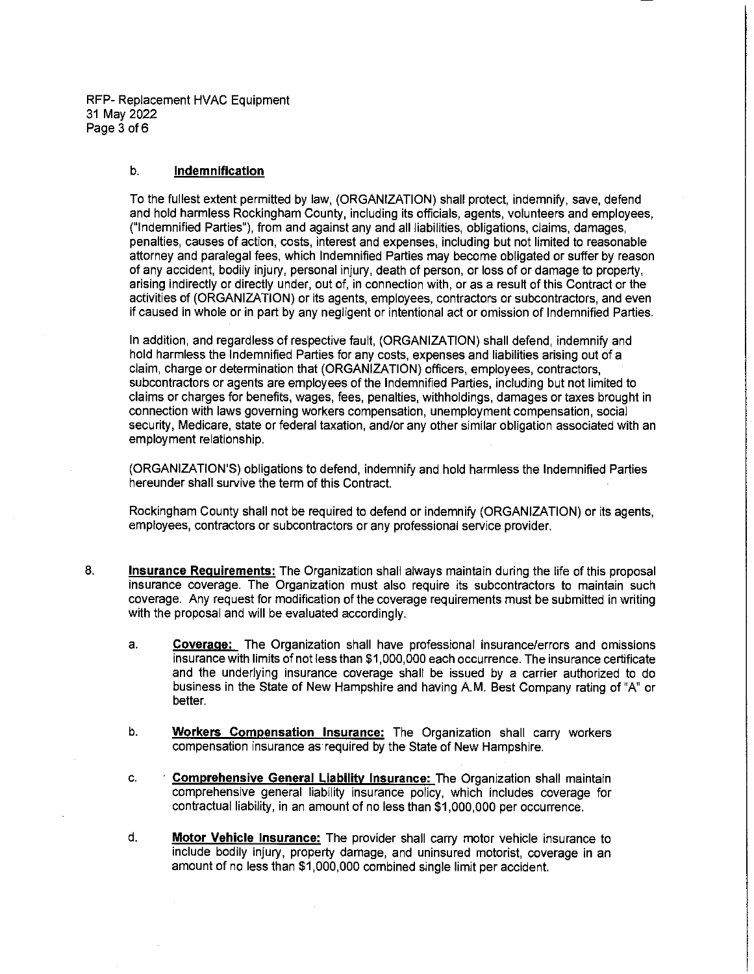RFP- Replacement HVAC Equipment 31 May 2022 Page 3 of 6

#### b. **Indemnification**

To the fullest extent permitted by law, (ORGANIZATION) shall protect, indemnify, save, defend and hold harmless Rockingham County, including its officials, agents, volunteers and employees, ("Indemnified Parties"), from and against any and all liabilities, obligations, claims, damages, penalties, causes of action, costs, interest and expenses, including but not limited to reasonable attorney and paralegal fees, which Indemnified Parties may become obligated or suffer by reason of any accident, bodily injury, personal injury, death of person, or loss of or damage to property, arising indirectly or directly under, out of, in connection with, or as a result of this Contract or the activities of (ORGANIZATION) or its agents, employees, contractors or subcontractors, and even if caused in whole or in part by any negligent or intentional act or omission of Indemnified Parties.

In addition, and regardless of respective fault, (ORGANIZATION) shall defend, indemnify and hold harmless the Indemnified Parties for any costs, expenses and liabilities arising out of a claim, charge or determination that (ORGANIZATION) officers, employees, contractors, subcontractors or agents are employees of the Indemnified Parties, including but not limited to claims or charges for benefits, wages, fees, penalties, withholdings, damages or taxes brought in connection with laws governing workers compensation, unemployment compensation, social security, Medicare, state or federal taxation, and/or any other similar obligation associated with an employment relationship.

(ORGANIZATION'S) obligations to defend, indemnify and hold harmless the Indemnified Parties hereunder shall survive the term of this Contract.

Rockingham County shall not be required to defend or indemnify (ORGANIZATION) or its agents, employees, contractors or subcontractors or any professional service provider.

- 8. **Insurance Requirements:** The Organization shall always maintain during the life of this proposal insurance coverage. The Organization must also require its subcontractors to maintain such coverage. Any request for modification of the coverage requirements must be submitted in writing with the proposal and will be evaluated accordingly.
	- a. **Coverage:** The Organization shall have professional insurance/errors and omissions insurance with limits of not less than \$1,000,000 each occurrence. The insurance certificate and the underlying insurance coverage shall be issued by a carrier authorized to do business in the State of New Hampshire and having A.M. Best Company rating of "A" or better.
	- b. **Workers Compensation Insurance:** The Organization shall carry workers compensation insurance as required by the State of New Hampshire.
	- c. **Comprehensive General Liability Insurance:** The Organization shall maintain comprehensive general liability insurance policy, which includes coverage for contractual liability, in an amount of no less than \$1,000,000 per occurrence.
	- d. **Motor Vehicle Insurance:** The provider shall carry motor vehicle insurance to include bodily injury, property damage, and uninsured motorist, coverage in an amount of no less than \$1,000,000 combined single limit per accident.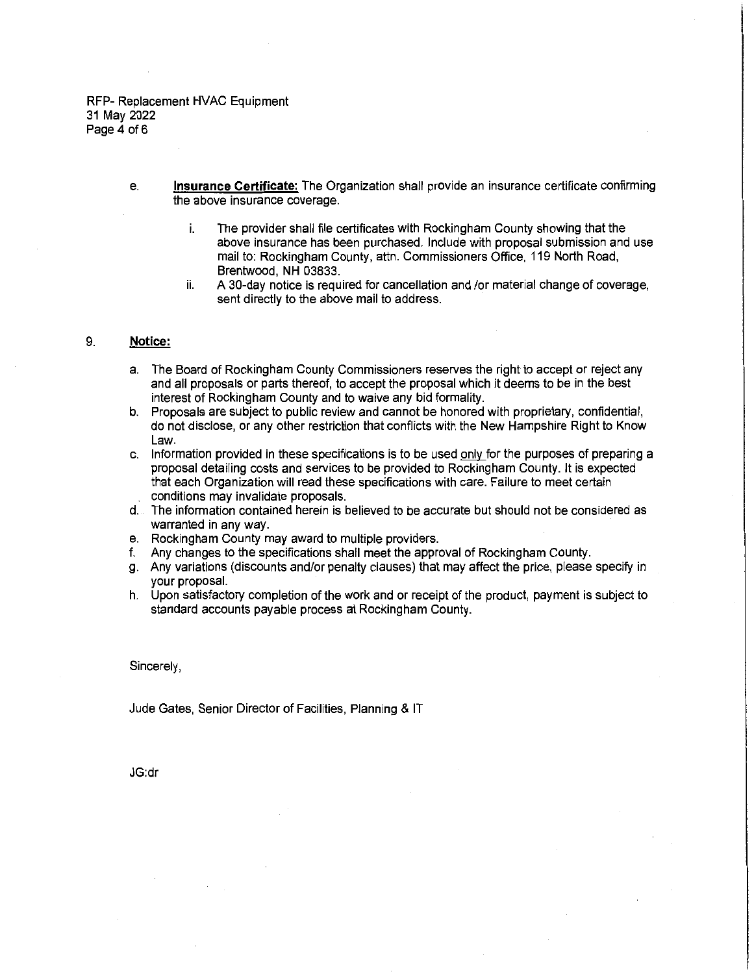RFP- Replacement HVAC Equipment 31 May 2022 Page 4 of 6

- e. **Insurance Certificate:** The Organization shall provide an insurance certificate confirming the above insurance coverage.
	- i. The provider shall file certificates with Rockingham County showing that the above insurance has been purchased. Include with proposal submission and use mail to: Rockingham County, attn. Commissioners Office, 119 North Road, Brentwood, NH 03833.
	- ii. A 30-day notice is required for cancellation and /or material change of coverage, sent directly to the above mail to address.

#### 9. **Notice:**

- a. The Board of Rockingham County Commissioners reserves the right to accept or reject any and all proposals or parts thereof, to accept the proposal which it deems to be in the best interest of Rockingham County and to waive any bid formality.
- b. Proposals are subject to public review and cannot be honored with proprietary, confidential, do not disclose, or any other restriction that conflicts with the New Hampshire Right to Know Law.
- c. Information provided in these specifications is to be used only for the purposes of preparing a proposal detailing costs and services to be provided to Rockingham County. It is expected that each Organization will read these specifications with care. Failure to meet certain conditions may invalidate proposals.
- d. The information contained herein is believed to be accurate but should not be considered as warranted in any way.
- e. Rockingham County may award to multiple providers.
- f. Any changes to the specifications shall meet the approval of Rockingham County.
- g. Any variations (discounts and/or penalty clauses) that may affect the price, please specify in your proposal.
- h. Upon satisfactory completion of the work and or receipt of the product, payment is subject to standard accounts payable process at Rockingham County.

Sincerely,

Jude Gates, Senior Director of Facilities, Planning & IT

JG:dr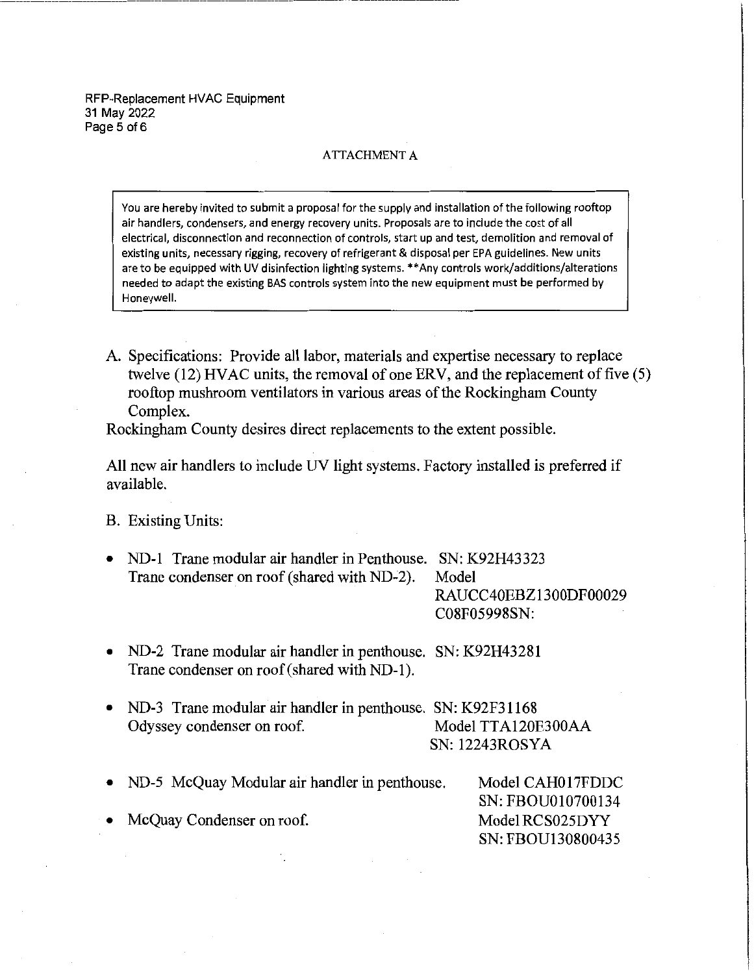#### ATTACHMENT A

You are hereby invited to submit a proposal for the supply and installation of the following rooftop air handlers, condensers, and energy recovery units. Proposals are to include the cost of all **electrical, disconnection and reconnection of controls, start up and test, demolition and removal of**  existing units, necessary rigging, recovery of refrigerant & disposal per EPA guidelines. New units are to be equipped with UV disinfection lighting systems. \*\*Any controls work/additions/alterations needed to adapt the existing BAS controls system into the new equipment must be performed by Honeywell.

A. Specifications: Provide all labor, materials and expertise necessary to replace twelve (12) HVAC units, the removal of one ERV, and the replacement of five (5) rooftop mushroom ventilators in various areas of the Rockingham County Complex.

Rockingham County desires direct replacements to the extent possible.

All new air handlers to include UV light systems. Factory installed is preferred if available.

B. Existing Units:

• ND-1 Trane modular air handler in Penthouse. SN: K92H43323 Trane condenser on roof (shared with ND~2). Model

RAUCC40EBZ1300DF00029 C08F05998SN:

- ND-2 Trane modular air handler in penthouse. SN: K92H43281 Trane condenser on roof (shared with ND-1).
- ND-3 Trane modular air handler in penthouse. SN: K92F31168 Odyssey condenser on roof. Model TTA120E300AA SN: 12243ROSYA
- ND-5 McQuay Modular air handler in penthouse. Model CAHO 17FDDC SN: FBOU010700134 Model RCS025DYY SN: FBOU130800435 McQuay Condenser on roof.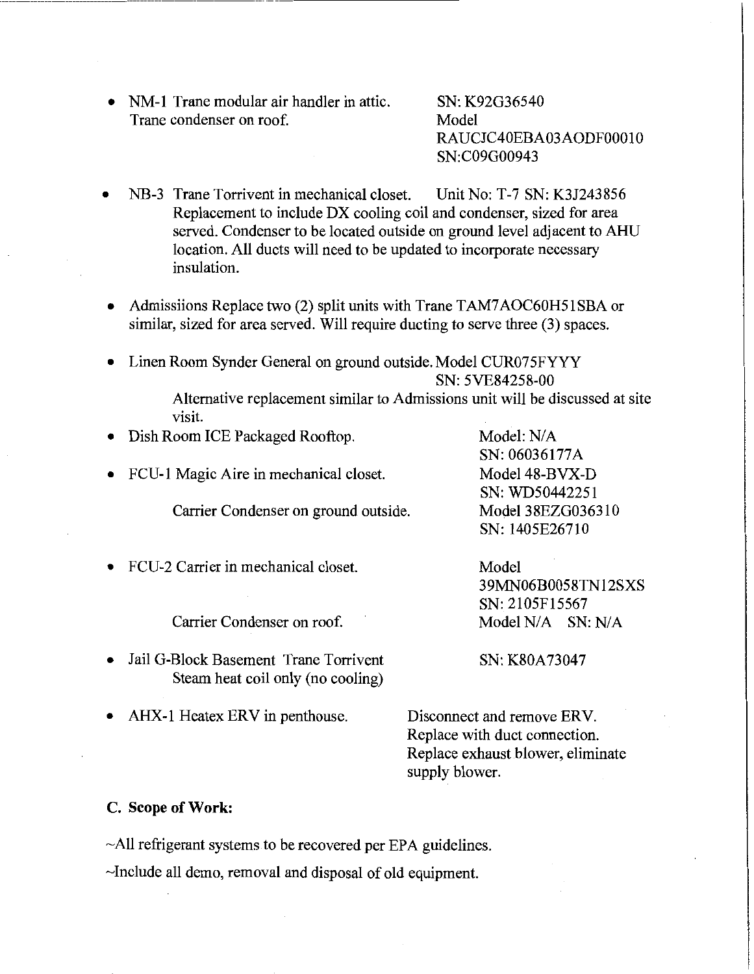• NM-1 Trane modular air handler in attic. Trane condenser on roof.

SN: K92G36540 Model RAUCJC40EBA03AODF00010 SN:C09G00943

- NB-3 Trane Torrivent in mechanical closet. Unit No: T-7 SN: K3J243856 Replacement to include DX cooling coil and condenser, sized for area served. Condenser to be located outside on ground level adjacent to AHU location. All ducts will need to be updated to incorporate necessary insulation.
- Admissiions Replace two (2) split units with Trane TAM7AOC60H51SBA or similar, sized for area served. Will require ducting to serve three (3) spaces.
- Linen Room Synder General on ground outside. Model CUR07 5FYYY SN: 5VE84258-00

Dish Room ICE Packaged Rooftop. Model: N/A

Alternative replacement similar to Admissions unit will be discussed at site visit.

- SN: 06036177A • FCU-1 Magic Aire in mechanical closet. Carrier Condenser on ground outside. Model 48-BVX-D SN: WD50442251 Model 38EZG036310 SN: 1405E26710
- FCU-2 Carrier in mechanical closet.

Carrier Condenser on roof.

• Jail G-Block Basement Trane Torrivent Steam heat coil only (no cooling)

Model 39MN06B0058TN12SXS SN: 2105F15567 Model N/A SN: N/A

SN: K80A73047

• AHX-1 Heatex ERV in penthouse.

Disconnect and remove ERV. Replace with duct connection. Replace exhaust blower, eliminate supply blower.

## **C. Scope of Work:**

~All refrigerant systems to be recovered per EPA guidelines.

~Include all demo, removal and disposal of old equipment.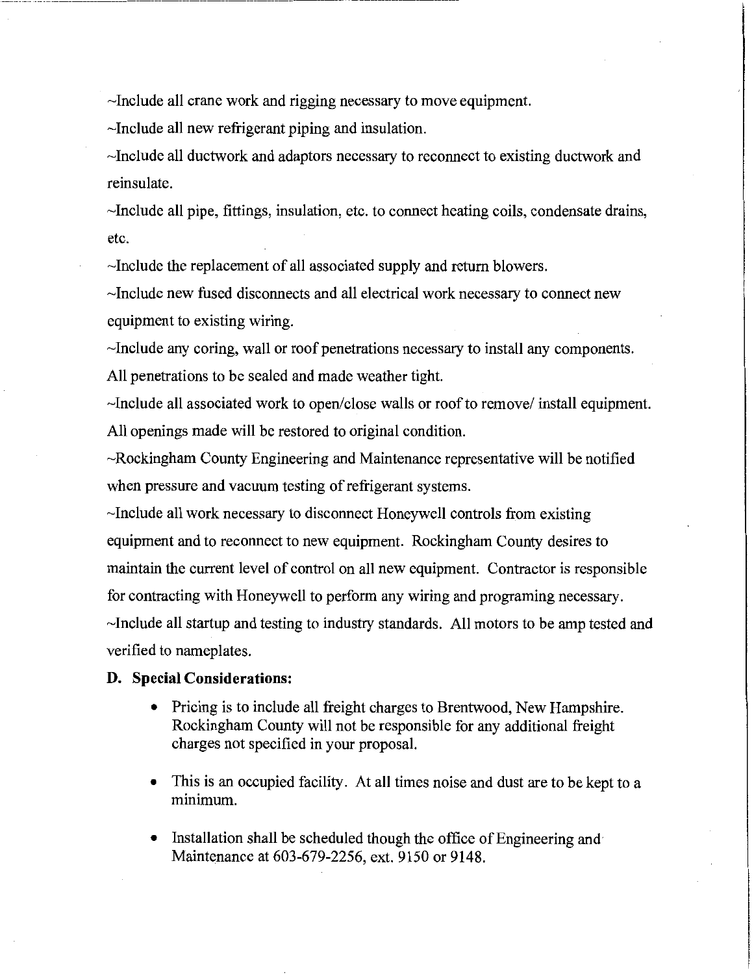-Include all crane work and rigging necessary to move equipment.

-Include all new refrigerant piping and insulation.

-Include all ductwork and adaptors necessary to reconnect to existing ductwork and reinsulate.

-Include all pipe, fittings, insulation, etc. to connect heating coils, condensate drains, etc.

-Include the replacement of all associated supply and return blowers.

-Include new fused disconnects and all electrical work necessary to connect new equipment to existing wiring.

-Include any coring, wall or roof penetrations necessary to install any components. All penetrations to be sealed and made weather tight.

-Include all associated work to open/close walls or roof to remove/ install equipment. All openings made will be restored to original condition.

-Rockingham County Engineering and Maintenance representative will be notified when pressure and vacuum testing of refrigerant systems.

-Include all work necessary to disconnect Honeywell controls from existing equipment and to reconnect to new equipment. Rockingham County desires to maintain the current level of control on all new equipment. Contractor is responsible for contracting with Honeywell to perform any wiring and programing necessary. -Include all startup and testing to industry standards. All motors to be amp tested and verified to nameplates.

## **D. Special Considerations:**

- Pricing is to include all freight charges to Brentwood, New Hampshire. Rockingham County will not be responsible for any additional freight charges not specified in your proposal.
- This is an occupied facility. At all times noise and dust are to be kept to a minimum.
- Installation shall be scheduled though the office of Engineering and Maintenance at 603-679-2256, ext. 9150 or 9148.